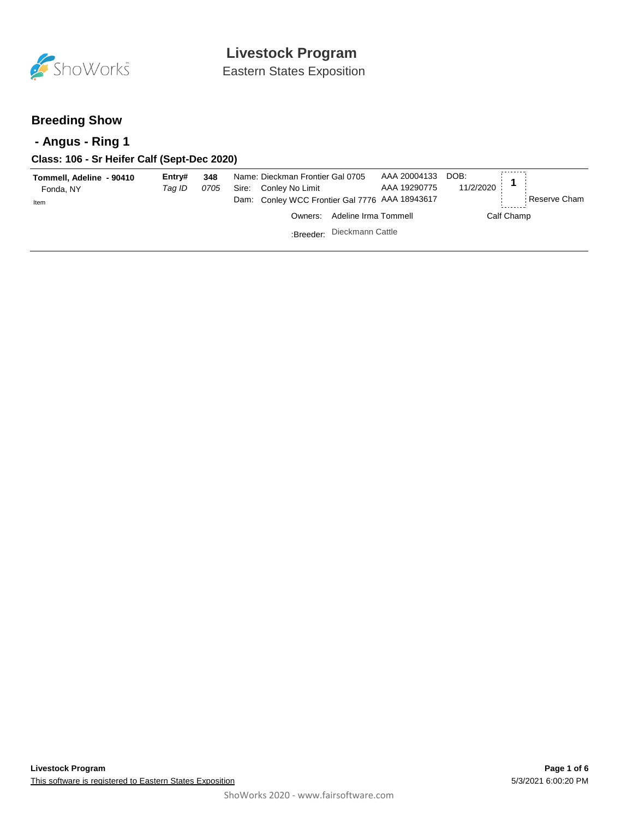

Eastern States Exposition

## **Breeding Show**

## **- Angus - Ring 1**

## **Class: 106 - Sr Heifer Calf (Sept-Dec 2020)**

| Tommell, Adeline - 90410<br>Fonda, NY | Entrv#<br>Tag ID | 348<br>0705 | Name: Dieckman Frontier Gal 0705<br>Conley No Limit<br>Sire: | AAA 20004133<br>AAA 19290775 | DOB:<br>11/2/2020 |              |
|---------------------------------------|------------------|-------------|--------------------------------------------------------------|------------------------------|-------------------|--------------|
| Item                                  |                  |             | Dam: Conley WCC Frontier Gal 7776 AAA 18943617               |                              |                   | Reserve Cham |
|                                       |                  |             | Owners: Adeline Irma Tommell                                 |                              | Calf Champ        |              |
|                                       |                  |             | :Breeder: Dieckmann Cattle                                   |                              |                   |              |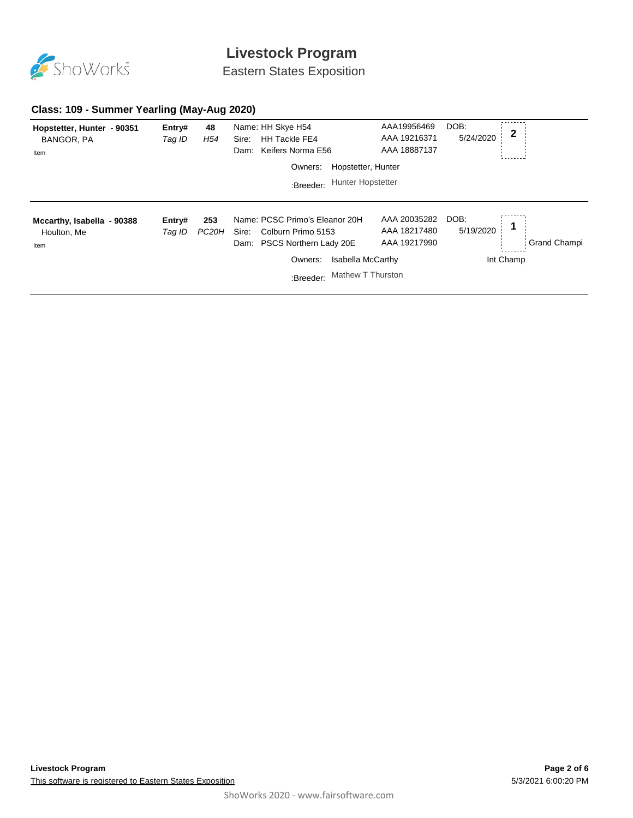

Eastern States Exposition

### **Class: 109 - Summer Yearling (May-Aug 2020)**

| Hopstetter, Hunter - 90351<br>BANGOR, PA<br>Item  | Entry#<br>Tag ID | 48<br>H54                 | Name: HH Skye H54<br><b>HH Tackle FE4</b><br>Sire:<br>Keifers Norma E56<br>Dam:                 | AAA19956469<br>AAA 19216371<br>AAA 18887137  | DOB:<br>5/24/2020 | $\mathbf 2$ |                     |
|---------------------------------------------------|------------------|---------------------------|-------------------------------------------------------------------------------------------------|----------------------------------------------|-------------------|-------------|---------------------|
|                                                   |                  |                           | Owners:                                                                                         | Hopstetter, Hunter                           |                   |             |                     |
|                                                   |                  |                           | :Breeder:                                                                                       | <b>Hunter Hopstetter</b>                     |                   |             |                     |
|                                                   |                  |                           |                                                                                                 |                                              |                   |             |                     |
| Mccarthy, Isabella - 90388<br>Houlton, Me<br>Item | Entry#<br>Tag ID | 253<br>PC <sub>20</sub> H | Name: PCSC Primo's Eleanor 20H<br>Colburn Primo 5153<br>Sire:<br>PSCS Northern Lady 20E<br>Dam: | AAA 20035282<br>AAA 18217480<br>AAA 19217990 | DOB:<br>5/19/2020 |             | <b>Grand Champi</b> |
|                                                   |                  |                           | Owners:                                                                                         | <b>Isabella McCarthy</b>                     |                   | Int Champ   |                     |
|                                                   |                  |                           | :Breeder:                                                                                       | Mathew T Thurston                            |                   |             |                     |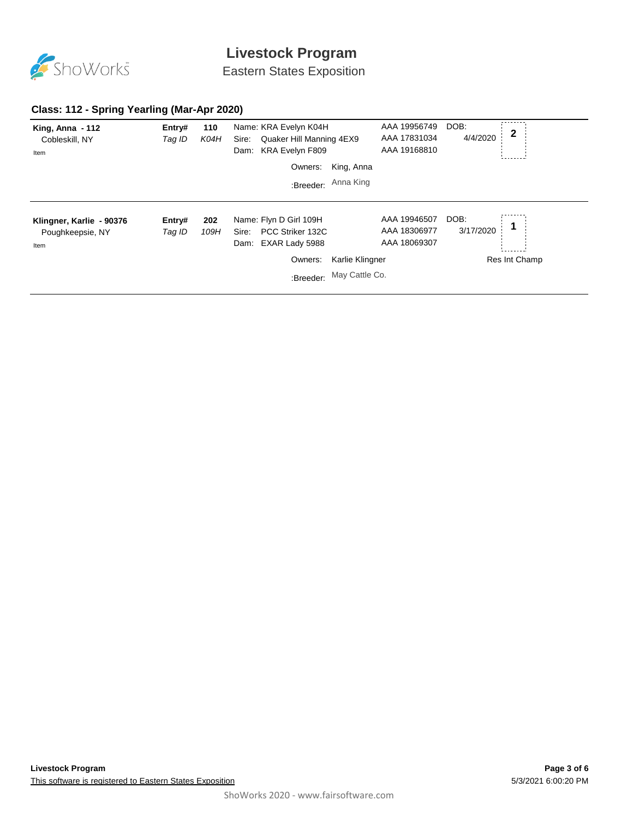

Eastern States Exposition

### **Class: 112 - Spring Yearling (Mar-Apr 2020)**

| King, Anna $-112$<br>Cobleskill, NY<br>Item          | Entry#<br>Tag ID | 110<br>K04H | Name: KRA Evelyn K04H<br>Quaker Hill Manning 4EX9<br>Sire:<br>KRA Evelyn F809<br>Dam:    |                          | AAA 19956749<br>AAA 17831034<br>AAA 19168810 | DOB:<br>4/4/2020  | $\mathbf 2$   |
|------------------------------------------------------|------------------|-------------|------------------------------------------------------------------------------------------|--------------------------|----------------------------------------------|-------------------|---------------|
|                                                      |                  |             | Owners:                                                                                  | King, Anna               |                                              |                   |               |
|                                                      |                  |             | :Breeder:                                                                                | Anna King                |                                              |                   |               |
| Klingner, Karlie - 90376<br>Poughkeepsie, NY<br>Item | Entry#<br>Tag ID | 202<br>109H | Name: Flyn D Girl 109H<br>PCC Striker 132C<br>Sire:<br>EXAR Lady 5988<br>Dam:<br>Owners: | Karlie Klingner          | AAA 19946507<br>AAA 18306977<br>AAA 18069307 | DOB:<br>3/17/2020 | Res Int Champ |
|                                                      |                  |             |                                                                                          | :Breeder: May Cattle Co. |                                              |                   |               |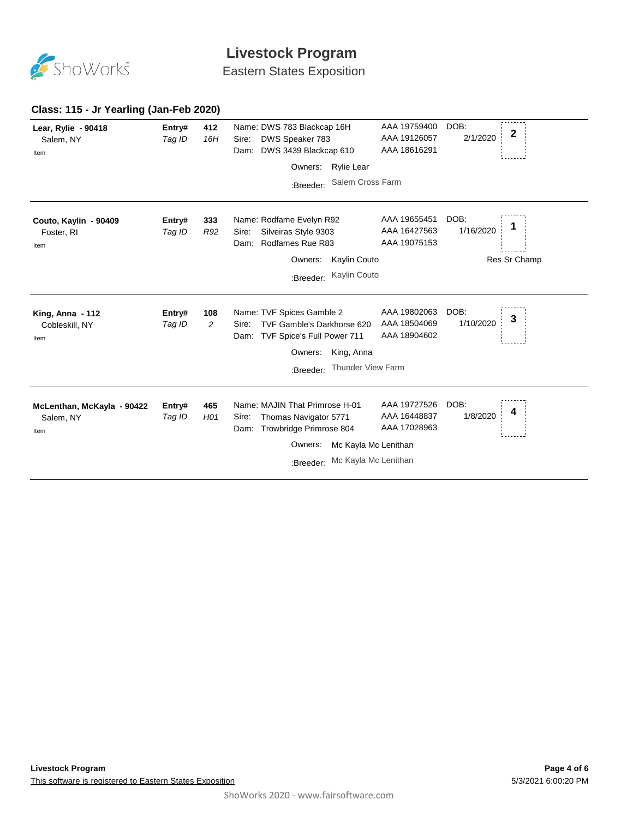

Eastern States Exposition

#### DOB: AAA 19759400 **Lear, Rylie - 90418 412** Name: DWS 783 Blackcap 16H **Entry# <sup>2</sup>** 2/1/2020 AAA 19126057 Salem, NY *Tag ID 16H* Sire: DWS Speaker 783 Dam: DWS 3439 Blackcap 610 AAA 18616291 Item ×, Owners: Rylie Lear :Breeder: Salem Cross Farm AAA 19655451 DOB: **Couto, Kaylin - 90409 333** Name: Rodfame Evelyn R92 **Entry# <sup>1</sup>** AAA 16427563 1/16/2020 Foster, RI *Tag ID R92* Sire: Silveiras Style 9303 Dam: Rodfames Rue R83 AAA 19075153 Item Owners: Kaylin Couto Res Sr Champ :Breeder: Kaylin Couto AAA 19802063 DOB: **King, Anna - 112 108** Name: TVF Spices Gamble 2 **Entry# <sup>3</sup>** 1/10/2020 *Tag ID 2* Sire: TVF Gamble's Darkhorse 620 AAA 18504069 Cobleskill, NY Dam: TVF Spice's Full Power 711 AAA 18904602 Item Owners: King, Anna :Breeder: Thunder View Farm AAA 19727526 DOB: **McLenthan, McKayla - 90422 465** Entry# 465 Name: MAJIN That Primrose H-01 AAA 19727526 DOB:<br>Tag ID H01 Sire: Thomas Navigator 5771 AAA 16448837 1/8/2020 4 *Tag ID H01* Sire: Thomas Navigator 5771 AAA 16448837 1/8/2020 Salem, NY Dam: Trowbridge Primrose 804 AAA 17028963 Item Owners: Mc Kayla Mc Lenithan :Breeder: Mc Kayla Mc Lenithan

#### **Class: 115 - Jr Yearling (Jan-Feb 2020)**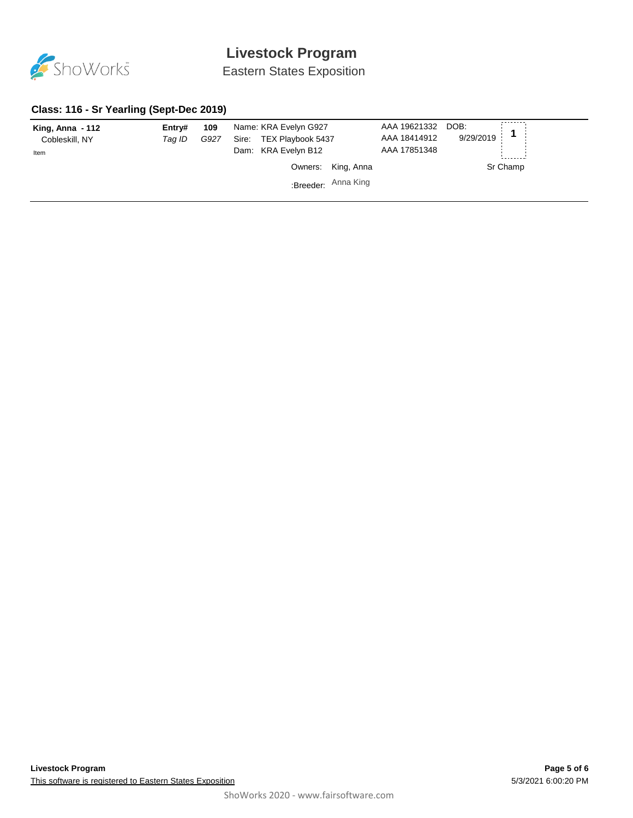

Eastern States Exposition

### **Class: 116 - Sr Yearling (Sept-Dec 2019)**

| King, Anna - 112<br>Cobleskill, NY<br>Item | Entry#<br>Taq ID | 109<br>G927 | Name: KRA Evelyn G927<br>TEX Playbook 5437<br>Sire:<br>Dam: KRA Evelyn B12 | AAA 19621332<br>AAA 18414912<br>AAA 17851348 | DOB:<br>9/29/2019 |
|--------------------------------------------|------------------|-------------|----------------------------------------------------------------------------|----------------------------------------------|-------------------|
|                                            |                  |             | Owners: King, Anna                                                         |                                              | Sr Champ          |
|                                            |                  |             | Breeder: Anna King                                                         |                                              |                   |